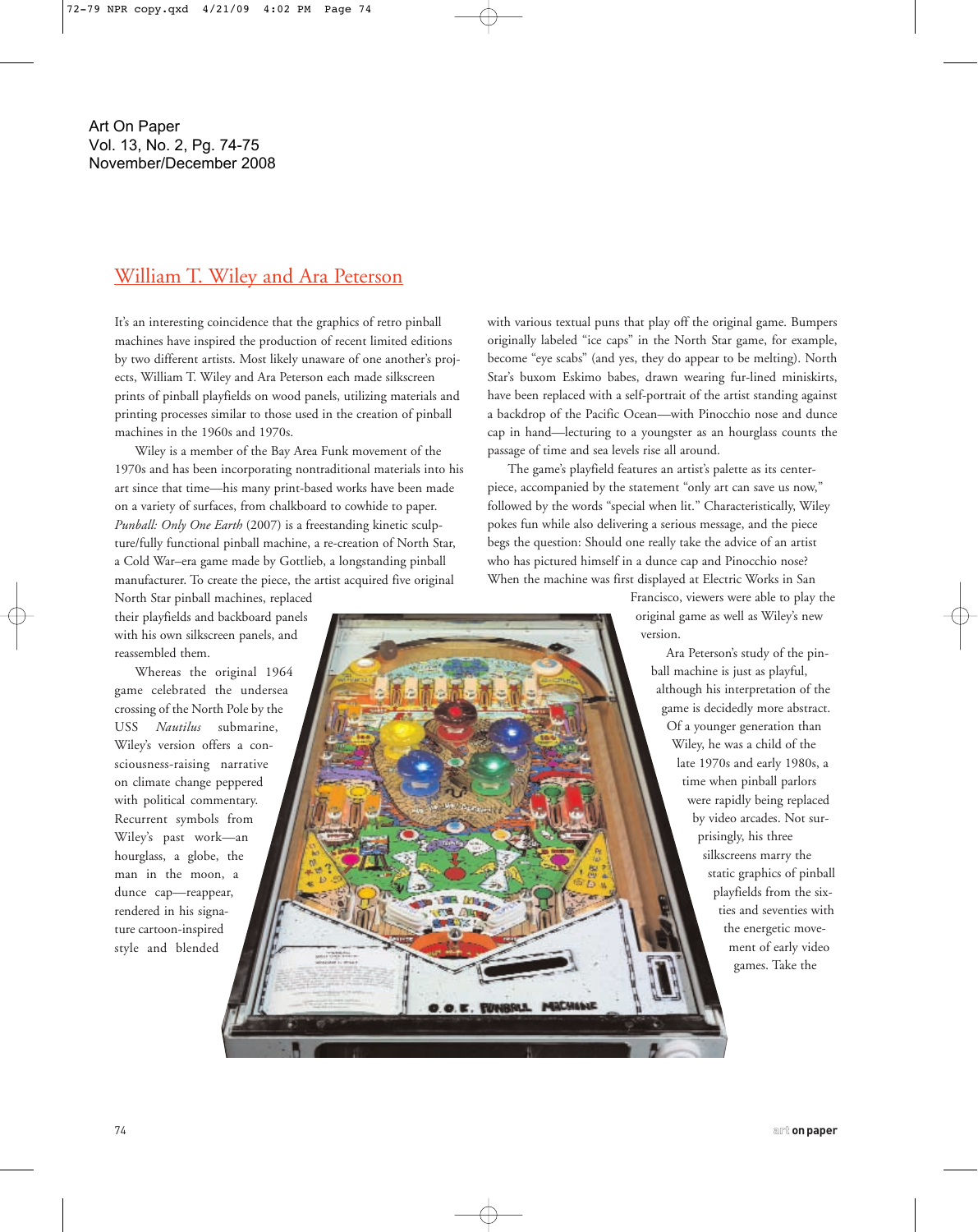## William T. Wiley and Ara Peterson

It's an interesting coincidence that the graphics of retro pinball machines have inspired the production of recent limited editions by two different artists. Most likely unaware of one another's projects, William T. Wiley and Ara Peterson each made silkscreen prints of pinball playfields on wood panels, utilizing materials and printing processes similar to those used in the creation of pinball machines in the 1960s and 1970s.

Wiley is a member of the Bay Area Funk movement of the 1970s and has been incorporating nontraditional materials into his art since that time—his many print-based works have been made on a variety of surfaces, from chalkboard to cowhide to paper. *Punball: Only One Earth* (2007) is a freestanding kinetic sculpture/fully functional pinball machine, a re-creation of North Star, a Cold War–era game made by Gottlieb, a longstanding pinball manufacturer. To create the piece, the artist acquired five original

North Star pinball machines, replaced their playfields and backboard panels with his own silkscreen panels, and reassembled them.

Whereas the original 1964 game celebrated the undersea crossing of the North Pole by the USS *Nautilus* submarine, Wiley's version offers a consciousness-raising narrative on climate change peppered with political commentary. Recurrent symbols from Wiley's past work—an hourglass, a globe, the man in the moon, a dunce cap—reappear, rendered in his signature cartoon-inspired style and blended

with various textual puns that play off the original game. Bumpers originally labeled "ice caps" in the North Star game, for example, become "eye scabs" (and yes, they do appear to be melting). North Star's buxom Eskimo babes, drawn wearing fur-lined miniskirts, have been replaced with a self-portrait of the artist standing against a backdrop of the Pacific Ocean—with Pinocchio nose and dunce cap in hand—lecturing to a youngster as an hourglass counts the passage of time and sea levels rise all around.

The game's playfield features an artist's palette as its centerpiece, accompanied by the statement "only art can save us now," followed by the words "special when lit." Characteristically, Wiley pokes fun while also delivering a serious message, and the piece begs the question: Should one really take the advice of an artist who has pictured himself in a dunce cap and Pinocchio nose? When the machine was first displayed at Electric Works in San

D.O.E. FUNSKA MACHANE

Francisco, viewers were able to play the original game as well as Wiley's new version.

Ara Peterson's study of the pinball machine is just as playful, although his interpretation of the game is decidedly more abstract. Of a younger generation than Wiley, he was a child of the late 1970s and early 1980s, a time when pinball parlors were rapidly being replaced by video arcades. Not surprisingly, his three silkscreens marry the static graphics of pinball playfields from the sixties and seventies with the energetic movement of early video games. Take the